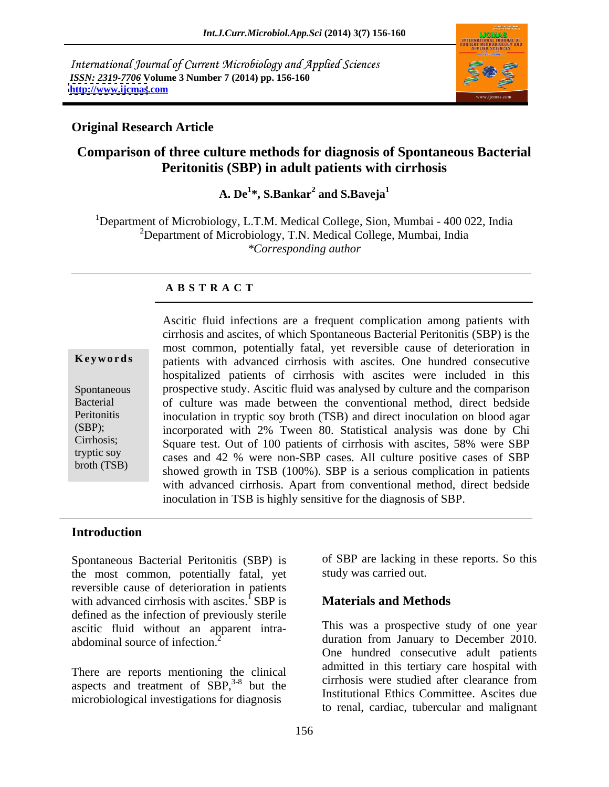International Journal of Current Microbiology and Applied Sciences *ISSN: 2319-7706* **Volume 3 Number 7 (2014) pp. 156-160 <http://www.ijcmas>.com**



## **Original Research Article**

# **Comparison of three culture methods for diagnosis of Spontaneous Bacterial Peritonitis (SBP) in adult patients with cirrhosis**

 $\mathbf{A}.\ \mathbf{D}\mathbf{e}^{1*},\ \mathbf{S}.\mathbf{Bankar}^{2}$  and  $\mathbf{S}.\mathbf{Baveja}^{1}$ **and S.Baveja<sup>1</sup>**

<sup>1</sup>Department of Microbiology, L.T.M. Medical College, Sion, Mumbai - 400 022, India  $2$ Department of Microbiology, T.N. Medical College, Mumbai, India *\*Corresponding author* 

#### **A B S T R A C T**

**Keywords** patients with advanced cirrhosis with ascites. One hundred consecutive Spontaneous prospective study. Ascitic fluid was analysed by culture and the comparison Bacterial of culture was made between the conventional method, direct bedside Peritonitis inoculation in tryptic soy broth (TSB) and direct inoculation on blood agar (SBP); incorporated with 2% Tween 80. Statistical analysis was done by Chi Cirrhosis; Square test. Out of 100 patients of cirrhosis with ascites, 58% were SBP tryptic soy cases and 42 % were non-SBP cases. All culture positive cases of SBP broth (TSB) showed growth in TSB (100%). SBP is a serious complication in patients Ascitic fluid infections are a frequent complication among patients with cirrhosis and ascites, of which Spontaneous Bacterial Peritonitis (SBP) is the most common, potentially fatal, yet reversible cause of deterioration in hospitalized patients of cirrhosis with ascites were included in this with advanced cirrhosis. Apart from conventional method, direct bedside inoculation in TSB is highly sensitive for the diagnosis of SBP.

### **Introduction**

Spontaneous Bacterial Peritonitis (SBP) is the most common, potentially fatal, yet reversible cause of deterioration in patients with advanced cirrhosis with ascites. $<sup>1</sup>$  SBP is</sup> defined as the infection of previously sterile ascitic fluid without an apparent intra-

aspects and treatment of  $\widetilde{SBP}$ ,  $3-8$  but the microbiological investigations for diagnosis

of SBP are lacking in these reports. So this study was carried out.

### **Materials and Methods**

abdominal source of infection.<sup>2</sup> duration from January to December 2010. There are reports mentioning the clinical<br>cirrhosis were studied after clearance from but the  $\frac{1}{2}$  contribution of  $\frac{1}{2}$  contribution of  $\frac{1}{2}$  contribution of  $\frac{1}{2}$  contribution of  $\frac{1}{2}$  contribution of  $\frac{1}{2}$  contribution of  $\frac{1}{2}$  contribution of  $\frac{1}{2}$  contribution of  $\frac{1$ This was a prospective study of one year One hundred consecutive adult patients admitted in this tertiary care hospital with cirrhosis were studied after clearance from Institutional Ethics Committee. Ascites due to renal, cardiac, tubercular and malignant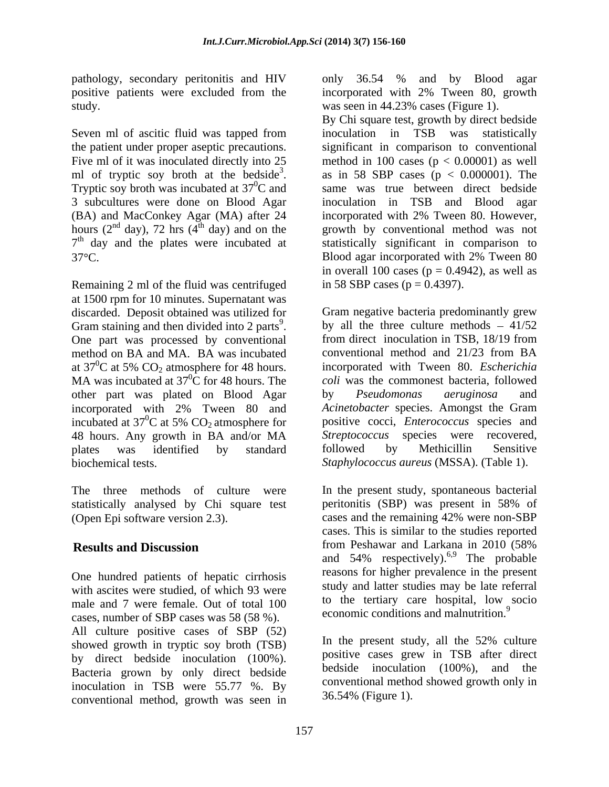pathology, secondary peritonitis and HIV only 36.54 % and by Blood agar

(BA) and MacConkey Agar (MA) after 24 hours ( $2<sup>nd</sup>$  day), 72 hrs ( $4<sup>th</sup>$  day) and on the

Remaining 2 ml of the fluid was centrifuged at 1500 rpm for 10 minutes. Supernatant was One part was processed by conventional from direct inoculation in TSB, 18/19 from at  $37^0$ C at 5% CO<sub>2</sub> atmosphere for 48 hours. other part was plated on Blood Agar by Pseudomonas aeruginosa and incubated at  $37^0$ C at 5% CO<sub>2</sub> atmosphere for 48 hours. Any growth in BA and/or MA biochemical tests. *Staphylococcus aureus* (MSSA). (Table 1).

statistically analysed by Chi square test (Open Epi software version 2.3). cases and the remaining 42% were non-SBP

One hundred patients of hepatic cirrhosis with ascites were studied, of which 93 were male and 7 were female. Out of total 100 cases, number of SBP cases was 58 (58 %). All culture positive cases of SBP  $(52)$ <br>showed growth in tryptic soy broth  $(TSP)$  In the present study, all the 52% culture showed growth in tryptic soy broth (TSB) by direct bedside inoculation (100%). Bacteria grown by only direct bedside inoculation in TSB were 55.77 %. By conventional method, growth was seen in

positive patients were excluded from the incorporated with 2% Tween 80, growth study. was seen in 44.23% cases (Figure 1). only 36.54 % and by Blood agar

Seven ml of ascitic fluid was tapped from inoculation in TSB was statistically the patient under proper aseptic precautions. significant in comparison to conventional Five ml of it was inoculated directly into 25 method in 100 cases  $(p < 0.00001)$  as well ml of tryptic soy broth at the bedside<sup>3</sup>. as in 58 SBP cases  $(p < 0.000001)$ . The ml of tryptic soy broth at the bedside<sup>3</sup>. as in 58 SBP cases ( $p < 0.000001$ ). The Tryptic soy broth was incubated at 37<sup>0</sup>C and same was true between direct bedside  ${}^{0}C$  and same was true between direct bedside 3 subcultures were done on Blood Agar inoculation in TSB and Blood agar hours ( $2<sup>nd</sup>$  day), 72 hrs ( $4<sup>th</sup>$  day) and on the growth by conventional method was not 7<sup>th</sup> day and the plates were incubated at statistically significant in comparison to 37 C. Blood agar incorporated with 2% Tween 80 By Chi square test, growth by direct bedside incorporated with 2% Tween 80. However, in overall 100 cases ( $p = 0.4942$ ), as well as in 58 SBP cases ( $p = 0.4397$ ).

discarded. Deposit obtained was utilized for Gram negative bacteria predominantly grew Gram staining and then divided into 2 parts<sup>9</sup>. by all the three culture methods  $-41/52$ method on BA and MA. BA was incubated conventional method and 21/23 from BA at  $37^0C$  at 5% CO<sub>2</sub> atmosphere for 48 hours. incorporated with Tween 80. *Escherichia*<br>MA was incubated at  $37^0C$  for 48 hours. The coli was the commonest bacteria, followed incorporated with 2% Tween 80 and *Acinetobacter* species. Amongst the Gram  ${}^{0}C$  at 5% CO<sub>2</sub> atmosphere for positive cocci, *Enterococcus* species and plates was identified by standard followed by Methicillin Sensitive from direct inoculation in TSB, 18/19 from incorporated with Tween 80. *Escherichia coli* was the commonest bacteria, followed by *Pseudomonas aeruginosa* and positive cocci, *Enterococcus* species and *Streptococcus* species were recovered, followed by Methicillin Sensitive

The three methods of culture were In the present study, spontaneous bacterial **Results and Discussion** from Peshawar and Larkana in 2010 (58%) peritonitis (SBP) was present in 58% of cases and the remaining 42% were non-SBP cases. This is similar to the studies reported from Peshawar and Larkana in 2010 (58% and  $54\%$  respectively).<sup>6,9</sup> The probable reasons for higher prevalence in the present study and latter studies may be late referral to the tertiary care hospital, low socio economic conditions and malnutrition.<sup>9</sup>

> In the present study, all the 52% culture positive cases grew in TSB after direct bedside inoculation (100%), and the conventional method showed growth only in 36.54% (Figure 1).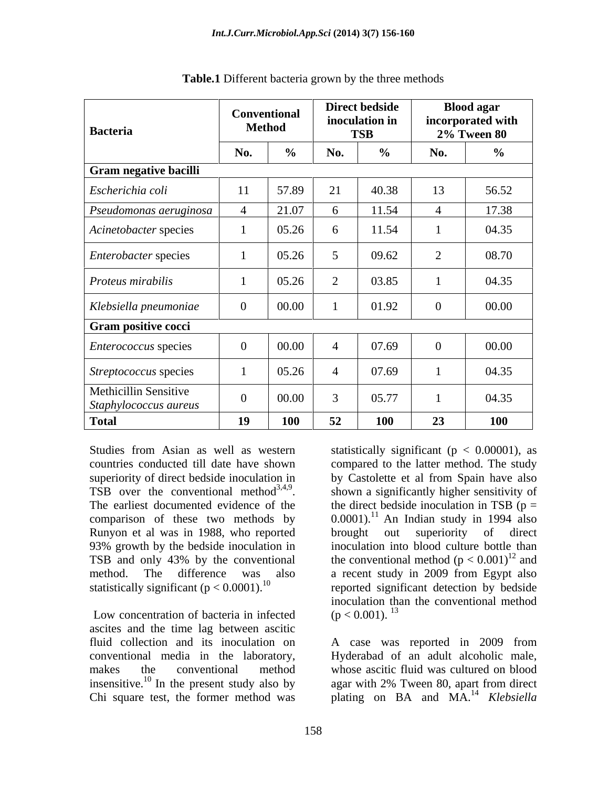| Bacteria                                       |               | Conventional  | <b>Direct bedside</b><br>inoculation in<br><b>TSB</b> |            | <b>Blood agar</b><br>incorporated with<br><b>2% Tween 80</b> |       |
|------------------------------------------------|---------------|---------------|-------------------------------------------------------|------------|--------------------------------------------------------------|-------|
|                                                | <b>Method</b> |               |                                                       |            |                                                              |       |
|                                                | No.           | $\gamma_0$    | No.                                                   |            | No.                                                          |       |
| <b>Gram negative bacilli</b>                   |               |               |                                                       |            |                                                              |       |
| Escherichia coli                               |               | 11   57.89    | 21                                                    | 40.38      | 13                                                           | 56.52 |
| Pseudomonas aeruginosa                         |               | 21.07         |                                                       | 11.54      |                                                              | 17.38 |
| Acinetobacter species                          |               | 05.26         |                                                       | 11.54      |                                                              | 04.35 |
| Enterobacter species                           |               | 05.26         |                                                       | 09.62      |                                                              | 08.70 |
| Proteus mirabilis                              |               | 05.26         |                                                       | 03.85      |                                                              | 04.35 |
| Klebsiella pneumoniae                          |               | $\big  00.00$ |                                                       | 01.92      |                                                              | 00.00 |
| Gram positive cocci                            |               |               |                                                       |            |                                                              |       |
| <i>Enterococcus</i> species                    |               | 00.00         |                                                       | 07.69      | $\overline{0}$                                               | 00.00 |
| <i>Streptococcus</i> species                   |               | 05.26         |                                                       | 07.69      |                                                              | 04.35 |
| Methicillin Sensitive<br>Staphylococcus aureus |               | 00.00         |                                                       | 05.77      |                                                              | 04.35 |
| <b>Total</b>                                   | 19            | 100           | $\epsilon$<br>54                                      | <b>100</b> | 23                                                           | 100   |

| Table.1<br>Differ<br>grown by<br>methods<br>ent bacteria,<br>the thre |  |
|-----------------------------------------------------------------------|--|
|                                                                       |  |

Runyon et al was in 1988, who reported statistically significant ( $p < 0.0001$ ).<sup>10</sup>

Low concentration of bacteria in infected  $(p < 0.001)$ . <sup>13</sup> ascites and the time lag between ascitic fluid collection and its inoculation on A case was reported in 2009 from insensitive.<sup>10</sup> In the present study also by

Studies from Asian as well as western statistically significant ( $p < 0.00001$ ), as countries conducted till date have shown compared to the latter method. The study superiority of direct bedside inoculation in by Castolette et al from Spain have also TSB over the conventional method<sup>3,4,9</sup>. shown a significantly higher sensitivity of The earliest documented evidence of the the direct bedside inoculation in TSB ( $p =$ comparison of these two methods by  $0.0001$ ).<sup>11</sup> An Indian study in 1994 also 93% growth by the bedside inoculation in inoculation into blood culture bottle than TSB and only 43% by the conventional the conventional method  $(p < 0.001)^{12}$  and method. The difference was also a recent study in 2009 from Egypt also brought out superiority of direct and reported significant detection by bedside inoculation than the conventional method  $(p < 0.001)$ . <sup>13</sup>

conventional media in the laboratory, Hyderabad of an adult alcoholic male, makes the conventional method whose ascitic fluid was cultured on blood Chi square test, the former method was plating on BA and MA.<sup>14</sup> *Klebsiella* A case was reported in 2009 from agar with 2% Tween 80, apart from direct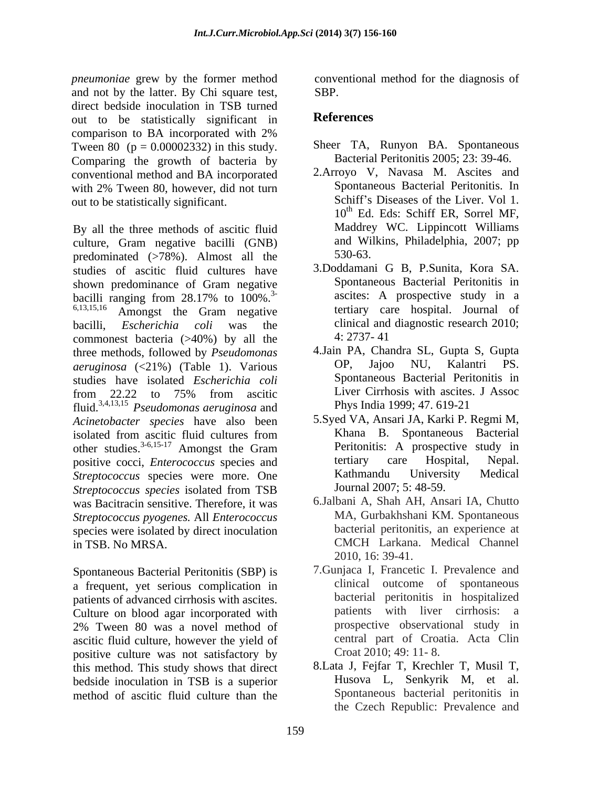*pneumoniae* grew by the former method and not by the latter. By Chi square test, direct bedside inoculation in TSB turned<br>out to be statistically significant in References out to be statistically significant in comparison to BA incorporated with 2% Tween 80 ( $p = 0.00002332$ ) in this study. Comparing the growth of bacteria by conventional method and BA incorporated out to be statistically significant.

culture, Gram negative bacilli (GNB) and Wi<br>predominated  $(578\%)$  Almost all the 530-63. predominated (>78%). Almost all the studies of ascitic fluid cultures have shown predominance of Gram negative bacilli ranging from 28.17% to  $100\%$ .<sup>3</sup> ascites: A prospective study in a  $6,13,15,16$  Amongst the Gram negative tertiary care hospital. Journal of bacilli, *Escherichia coli* was the clinical and diagnostic research 2010; commonest bacteria  $(>40\%)$  by all the 4: 2737-41 three methods, followed by *Pseudomonas* 4.Jain PA, Chandra SL, Gupta S, Gupta<br>*deruginosa* (<21%) (Table 1) Various **DP, Jajoo NU, Kalantri PS**. *aeruginosa* (<21%) (Table 1). Various studies have isolated *Escherichia coli* from 22.22 to 75% from ascitic Liver Cirrhosis with ascites. J Assoc fluid.3,4,13,15 *Pseudomonas aeruginosa* and *Acinetobacter species* have also been isolated from ascitic fluid cultures from Khana B. Spontaneous Bacterial other studies.<sup>3-6,15-17</sup> Amongst the Gram Peritonitis: A prospective study in positive cocci *Enterococcus* species and tertiary care Hospital, Nepal. positive cocci, *Enterococcus* species and tertiary care Hospital, Nepal.<br>Strentococcus species were more One Kathmandu University Medical *Streptococcus* species were more. One *Streptococcus species* isolated from TSB was Bacitracin sensitive. Therefore, it was *Streptococcus pyogenes.* All *Enterococcus*  species were isolated by direct inoculation in TSB. No MRSA. CMCH Larkana. Medical Channel

Spontaneous Bacterial Peritonitis (SBP) is a frequent, yet serious complication in patients of advanced cirrhosis with ascites. Culture on blood agar incorporated with ascitic fluid culture, however the yield of positive culture was not satisfactory by this method. This study shows that direct bedside inoculation in TSB is a superior method of ascitic fluid culture than the

conventional method for the diagnosis of SBP.

## **References**

- Sheer TA, Runyon BA. Spontaneous Bacterial Peritonitis 2005; 23: 39-46.
- with 2% Tween 80, however, did not turn Spontaneous Bacterial Peritonitis. In By all the three methods of ascitic fluid<br>By all the three methods of ascitic fluid<br>Maddrey WC. Lippincott Williams 2.Arroyo V, Navasa M. Ascites and Spontaneous Bacterial Peritonitis. In Schiff's Diseases of the Liver. Vol 1. 10<sup>th</sup> Ed. Eds: Schiff ER, Sorrel MF, Maddrey WC. Lippincott Williams and Wilkins, Philadelphia, 2007; pp 530-63.
	- 3.Doddamani G B, P.Sunita, Kora SA. Spontaneous Bacterial Peritonitis in ascites: A prospective study in a tertiary care hospital. Journal of 4: 2737- 41
	- 4.Jain PA, Chandra SL, Gupta S, Gupta OP, Jajoo NU, Kalantri PS. Spontaneous Bacterial Peritonitis in Liver Cirrhosis with ascites. J Assoc Phys India 1999; 47. 619-21
	- 5.Syed VA, Ansari JA, Karki P. Regmi M, Khana B. Spontaneous Bacterial Peritonitis: A prospective study in tertiary care Hospital, Nepal. Kathmandu University Medical Journal 2007; 5: 48-59.
	- 6.Jalbani A, Shah AH, Ansari IA, Chutto MA, Gurbakhshani KM. Spontaneous bacterial peritonitis, an experience at CMCH Larkana. Medical Channel 2010, 16: 39-41.
- 2% Tween 80 was a novel method of 7.Gunjaca I, Francetic I. Prevalence and clinical outcome of spontaneous bacterial peritonitis in hospitalized patients with liver cirrhosis: a prospective observational study in central part of Croatia. Acta Clin Croat 2010; 49: 11- 8.
	- 8.Lata J, Fejfar T, Krechler T, Musil T, Husova L, Senkyrik M, et al. Spontaneous bacterial peritonitis in the Czech Republic: Prevalence and